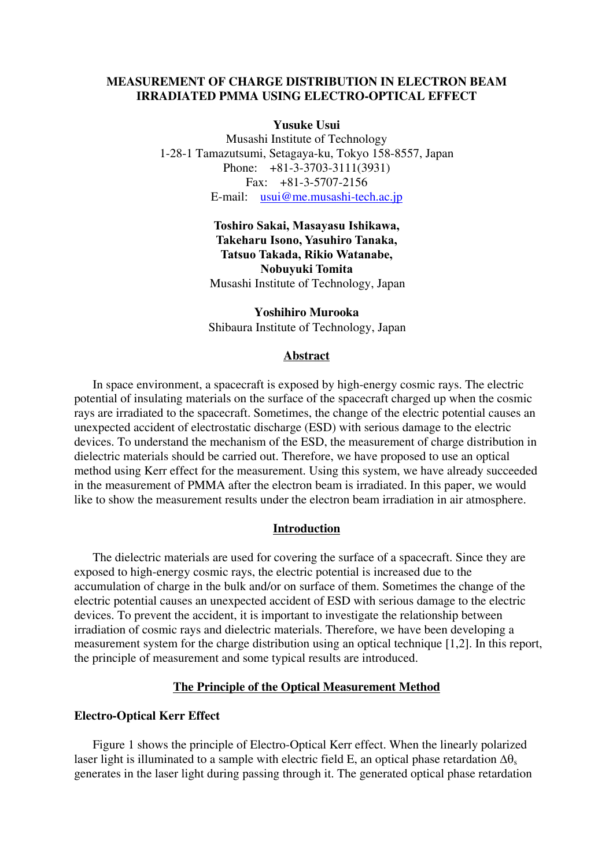# **MEASUREMENT OF CHARGE DISTRIBUTION IN ELECTRON BEAM IRRADIATED PMMA USING ELECTRO-OPTICAL EFFECT**

#### **Yusuke Usui**

Musashi Institute of Technology 1-28-1 Tamazutsumi, Setagaya-ku, Tokyo 158-8557, Japan Phone: +81-3-3703-3111(3931) Fax: +81-3-5707-2156 E-mail: [usui@me.musashi-tech.ac.jp](mailto:usui@me.musashi-tech.ac.jp)

# **Toshiro Sakai, Masayasu Ishikawa, Takeharu Isono, Yasuhiro Tanaka, Tatsuo Takada, Rikio Watanabe, Nobuyuki Tomita**  Musashi Institute of Technology, Japan

**Yoshihiro Murooka**  Shibaura Institute of Technology, Japan

## **Abstract**

In space environment, a spacecraft is exposed by high-energy cosmic rays. The electric potential of insulating materials on the surface of the spacecraft charged up when the cosmic rays are irradiated to the spacecraft. Sometimes, the change of the electric potential causes an unexpected accident of electrostatic discharge (ESD) with serious damage to the electric devices. To understand the mechanism of the ESD, the measurement of charge distribution in dielectric materials should be carried out. Therefore, we have proposed to use an optical method using Kerr effect for the measurement. Using this system, we have already succeeded in the measurement of PMMA after the electron beam is irradiated. In this paper, we would like to show the measurement results under the electron beam irradiation in air atmosphere.

#### **Introduction**

The dielectric materials are used for covering the surface of a spacecraft. Since they are exposed to high-energy cosmic rays, the electric potential is increased due to the accumulation of charge in the bulk and/or on surface of them. Sometimes the change of the electric potential causes an unexpected accident of ESD with serious damage to the electric devices. To prevent the accident, it is important to investigate the relationship between irradiation of cosmic rays and dielectric materials. Therefore, we have been developing a measurement system for the charge distribution using an optical technique [1,2]. In this report, the principle of measurement and some typical results are introduced.

### **The Principle of the Optical Measurement Method**

#### **Electro-Optical Kerr Effect**

Figure 1 shows the principle of Electro-Optical Kerr effect. When the linearly polarized laser light is illuminated to a sample with electric field E, an optical phase retardation  $\Delta\theta_s$ generates in the laser light during passing through it. The generated optical phase retardation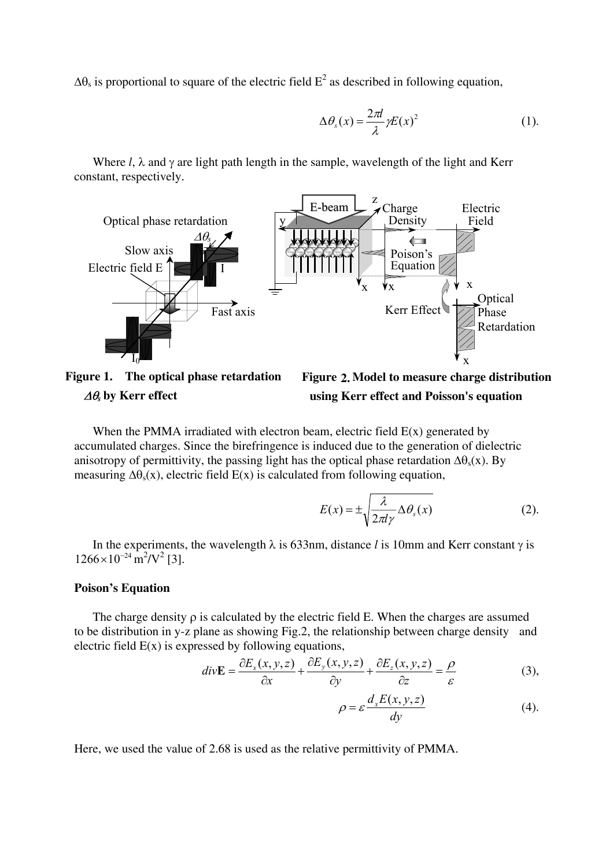$\Delta\theta_s$  is proportional to square of the electric field  $E^2$  as described in following equation,

$$
\Delta \theta_s(x) = \frac{2\pi l}{\lambda} \gamma E(x)^2 \tag{1}
$$

Where *l*, λ and γ are light path length in the sample, wavelength of the light and Kerr constant, respectively.



**Figure 1. The optical phase retardation**  ∆θ*s* **by Kerr effect** 

**Figure 2. Model to measure charge distribution using Kerr effect and Poisson's equation**

When the PMMA irradiated with electron beam, electric field  $E(x)$  generated by accumulated charges. Since the birefringence is induced due to the generation of dielectric anisotropy of permittivity, the passing light has the optical phase retardation  $\Delta\theta_s(x)$ . By measuring  $\Delta\theta_s(x)$ , electric field E(x) is calculated from following equation,

$$
E(x) = \pm \sqrt{\frac{\lambda}{2\pi l \gamma} \Delta \theta_s(x)} \tag{2}
$$

In the experiments, the wavelength  $\lambda$  is 633nm, distance *l* is 10mm and Kerr constant  $\gamma$  is  $1266 \times 10^{-24}$  m<sup>2</sup>/V<sup>2</sup> [3].

#### **Poison's Equation**

The charge density  $\rho$  is calculated by the electric field E. When the charges are assumed to be distribution in y-z plane as showing Fig.2, the relationship between charge density and electric field  $E(x)$  is expressed by following equations,

$$
div\mathbf{E} = \frac{\partial E_x(x, y, z)}{\partial x} + \frac{\partial E_y(x, y, z)}{\partial y} + \frac{\partial E_z(x, y, z)}{\partial z} = \frac{\rho}{\varepsilon}
$$
(3),

$$
\rho = \varepsilon \frac{d_x E(x, y, z)}{dy} \tag{4}
$$

Here, we used the value of 2.68 is used as the relative permittivity of PMMA.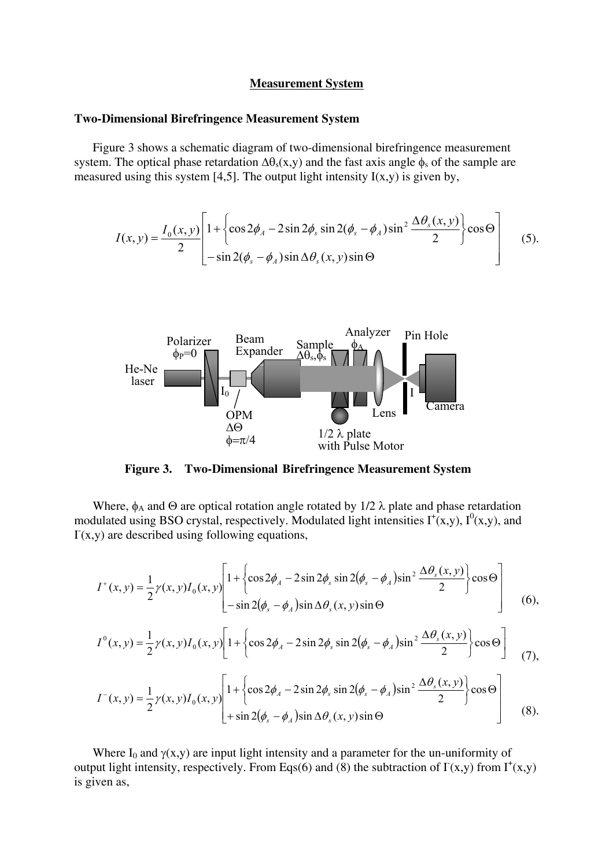#### **Measurement System**

## **Two-Dimensional Birefringence Measurement System**

Figure 3 shows a schematic diagram of two-dimensional birefringence measurement system. The optical phase retardation  $\Delta\theta_s(x,y)$  and the fast axis angle  $\phi_s$  of the sample are measured using this system  $[4,5]$ . The output light intensity  $I(x,y)$  is given by,

$$
I(x,y) = \frac{I_0(x,y)}{2} \left[ 1 + \left\{ \cos 2\phi_A - 2\sin 2\phi_s \sin 2(\phi_s - \phi_A) \sin^2 \frac{\Delta \theta_s(x,y)}{2} \right\} \cos \Theta \right] \quad (5).
$$



**Figure 3. Two-Dimensional Birefringence Measurement System** 

Where,  $\phi_A$  and  $\Theta$  are optical rotation angle rotated by 1/2  $\lambda$  plate and phase retardation modulated using BSO crystal, respectively. Modulated light intensities  $I^+(x,y)$ ,  $I^0(x,y)$ , and  $\Gamma(x, y)$  are described using following equations,

$$
I^+(x,y) = \frac{1}{2}\gamma(x,y)I_0(x,y)\left[1 + \left\{\cos 2\phi_A - 2\sin 2\phi_s \sin 2(\phi_s - \phi_A)\sin^2 \frac{\Delta\theta_s(x,y)}{2}\right\}\cos\Theta\right] - \sin 2(\phi_s - \phi_A)\sin\Delta\theta_s(x,y)\sin\Theta\tag{6},
$$

$$
I^{0}(x,y) = \frac{1}{2}\gamma(x,y)I_{0}(x,y)\left[1+\left\{\cos 2\phi_{A}-2\sin 2\phi_{s}\sin 2(\phi_{s}-\phi_{A})\sin^{2}\frac{\Delta\theta_{s}(x,y)}{2}\right\}\cos\Theta\right]
$$
(7),

$$
I^{-}(x,y) = \frac{1}{2}\gamma(x,y)I_{0}(x,y)\left[1 + \left\{\cos 2\phi_{A} - 2\sin 2\phi_{s}\sin 2(\phi_{s} - \phi_{A})\sin^{2}\frac{\Delta\theta_{s}(x,y)}{2}\right\}\cos\Theta\right] + \sin 2(\phi_{s} - \phi_{A})\sin\Delta\theta_{s}(x,y)\sin\Theta\right]
$$
(8).

Where I<sub>0</sub> and  $\gamma(x,y)$  are input light intensity and a parameter for the un-uniformity of output light intensity, respectively. From Eqs(6) and (8) the subtraction of  $\Gamma(x,y)$  from  $\Gamma^+(x,y)$ is given as,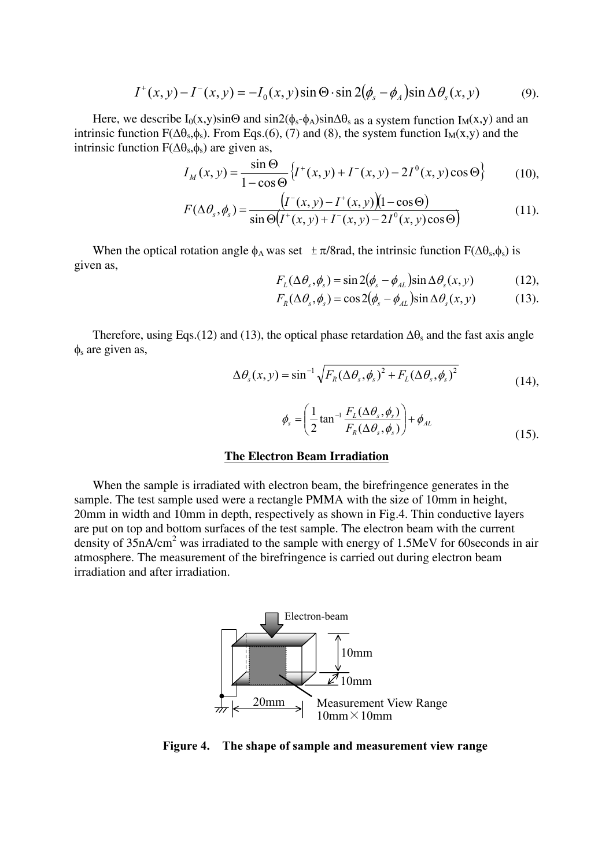$$
I^+(x, y) - I^-(x, y) = -I_0(x, y)\sin\Theta \cdot \sin 2(\phi_s - \phi_A)\sin \Delta\theta_s(x, y) \tag{9}.
$$

Here, we describe  $I_0(x,y) \sin\Theta$  and  $\sin 2(\phi_s - \phi_A) \sin \Delta \Theta_s$  as a system function I<sub>M</sub>(x,y) and an intrinsic function  $F(\Delta\theta_s,\phi_s)$ . From Eqs.(6), (7) and (8), the system function I<sub>M</sub>(x,y) and the intrinsic function  $F(\Delta\theta_s, \phi_s)$  are given as,

$$
I_M(x, y) = \frac{\sin \Theta}{1 - \cos \Theta} \{ I^+(x, y) + I^-(x, y) - 2I^0(x, y)\cos \Theta \}
$$
(10),

$$
F(\Delta \theta_s, \phi_s) = \frac{(I^-(x, y) - I^+(x, y))(1 - \cos \Theta)}{\sin \Theta(I^+(x, y) + I^-(x, y) - 2I^0(x, y)\cos \Theta)}
$$
(11).

When the optical rotation angle  $\phi_A$  was set  $\pm \pi/8$ rad, the intrinsic function F( $\Delta\theta_s$ , $\phi_s$ ) is given as,

$$
F_L(\Delta \theta_s, \phi_s) = \sin 2(\phi_s - \phi_{AL}) \sin \Delta \theta_s(x, y) \tag{12}
$$

$$
F_R(\Delta \theta_s, \phi_s) = \cos 2(\phi_s - \phi_{AL}) \sin \Delta \theta_s(x, y) \tag{13}
$$

Therefore, using Eqs.(12) and (13), the optical phase retardation  $\Delta\theta_s$  and the fast axis angle  $\phi_s$  are given as,

$$
\Delta \theta_s(x, y) = \sin^{-1} \sqrt{F_R(\Delta \theta_s, \phi_s)^2 + F_L(\Delta \theta_s, \phi_s)^2}
$$
(14),

$$
\phi_s = \left(\frac{1}{2}\tan^{-1}\frac{F_L(\Delta\theta_s, \phi_s)}{F_R(\Delta\theta_s, \phi_s)}\right) + \phi_{AL}
$$
\n(15).

## **The Electron Beam Irradiation**

When the sample is irradiated with electron beam, the birefringence generates in the sample. The test sample used were a rectangle PMMA with the size of 10mm in height, 20mm in width and 10mm in depth, respectively as shown in Fig.4. Thin conductive layers are put on top and bottom surfaces of the test sample. The electron beam with the current density of  $35nA/cm<sup>2</sup>$  was irradiated to the sample with energy of 1.5MeV for 60 seconds in air atmosphere. The measurement of the birefringence is carried out during electron beam irradiation and after irradiation.



**Figure 4. The shape of sample and measurement view range**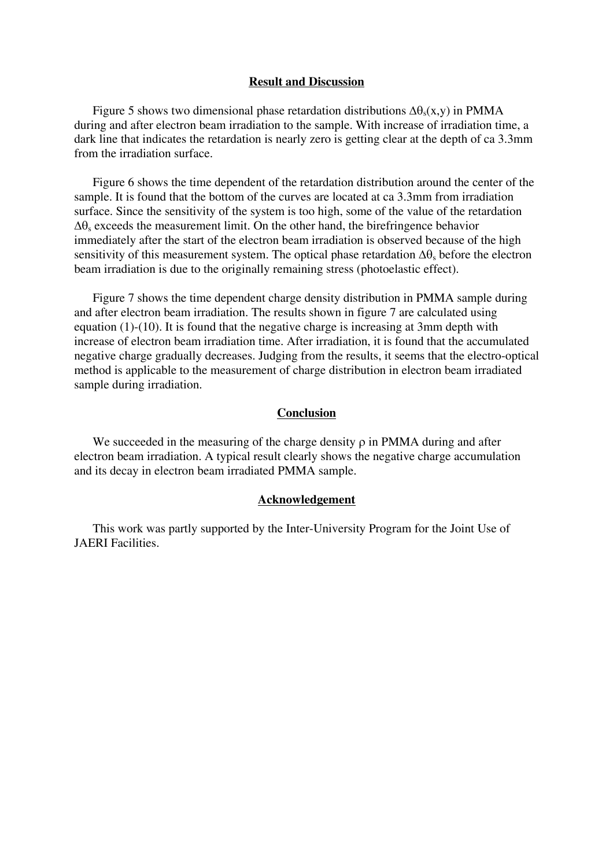## **Result and Discussion**

Figure 5 shows two dimensional phase retardation distributions  $\Delta\theta_s(x,y)$  in PMMA during and after electron beam irradiation to the sample. With increase of irradiation time, a dark line that indicates the retardation is nearly zero is getting clear at the depth of ca 3.3mm from the irradiation surface.

Figure 6 shows the time dependent of the retardation distribution around the center of the sample. It is found that the bottom of the curves are located at ca 3.3mm from irradiation surface. Since the sensitivity of the system is too high, some of the value of the retardation  $\Delta\theta_s$  exceeds the measurement limit. On the other hand, the birefringence behavior immediately after the start of the electron beam irradiation is observed because of the high sensitivity of this measurement system. The optical phase retardation  $\Delta\theta_s$  before the electron beam irradiation is due to the originally remaining stress (photoelastic effect).

Figure 7 shows the time dependent charge density distribution in PMMA sample during and after electron beam irradiation. The results shown in figure 7 are calculated using equation (1)-(10). It is found that the negative charge is increasing at 3mm depth with increase of electron beam irradiation time. After irradiation, it is found that the accumulated negative charge gradually decreases. Judging from the results, it seems that the electro-optical method is applicable to the measurement of charge distribution in electron beam irradiated sample during irradiation.

## **Conclusion**

We succeeded in the measuring of the charge density  $\rho$  in PMMA during and after electron beam irradiation. A typical result clearly shows the negative charge accumulation and its decay in electron beam irradiated PMMA sample.

#### **Acknowledgement**

This work was partly supported by the Inter-University Program for the Joint Use of JAERI Facilities.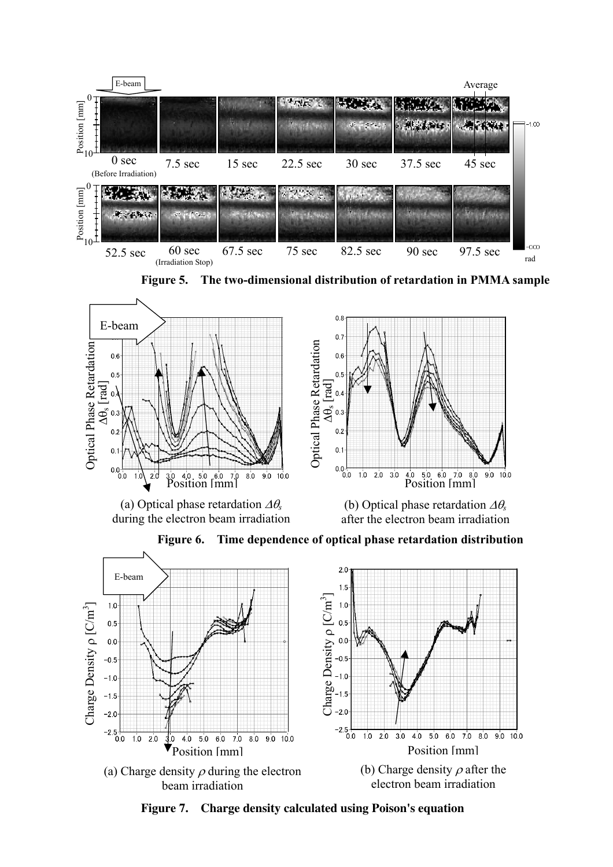

**Figure 5. The two-dimensional distribution of retardation in PMMA sample**



**Figure 7. Charge density calculated using Poison's equation**